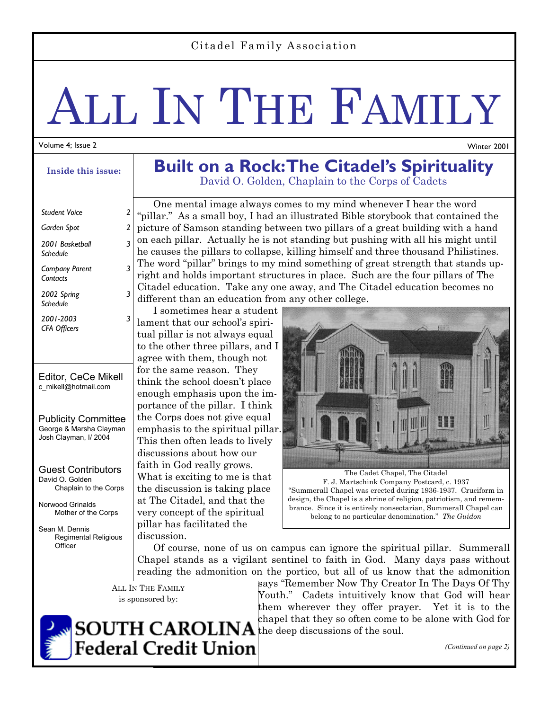### Citadel Family Association

# ALL IN THE FAMILY

#### Volume 4; Issue 2

**Inside this issue:** 

## Editor, CeCe Mikell c\_mikell@hotmail.com Publicity Committee George & Marsha Clayman Josh Clayman, I/ 2004 Guest Contributors David O. Golden Chaplain to the Corps Norwood Grinalds Mother of the Corps *Student Voice Garden Spot 2 2001 Basketball Schedule 3 Company Parent Contacts 3 2002 Spring Schedule 3 2001-2003 CFA Officers 3*

Sean M. Dennis Regimental Religious **Officer** 

# **Built on a Rock: The Citadel's Spirituality**  David O. Golden, Chaplain to the Corps of Cadets

 One mental image always comes to my mind whenever I hear the word "pillar." As a small boy, I had an illustrated Bible storybook that contained the picture of Samson standing between two pillars of a great building with a hand on each pillar. Actually he is not standing but pushing with all his might until he causes the pillars to collapse, killing himself and three thousand Philistines. The word "pillar" brings to my mind something of great strength that stands upright and holds important structures in place. Such are the four pillars of The Citadel education. Take any one away, and The Citadel education becomes no different than an education from any other college.

 I sometimes hear a student lament that our school's spiritual pillar is not always equal to the other three pillars, and I agree with them, though not for the same reason. They think the school doesn't place enough emphasis upon the importance of the pillar. I think the Corps does not give equal emphasis to the spiritual pillar. This then often leads to lively discussions about how our faith in God really grows. What is exciting to me is that the discussion is taking place at The Citadel, and that the very concept of the spiritual pillar has facilitated the discussion.



The Cadet Chapel, The Citadel F. J. Martschink Company Postcard, c. 1937 "Summerall Chapel was erected during 1936-1937. Cruciform in design, the Chapel is a shrine of religion, patriotism, and remembrance. Since it is entirely nonsectarian, Summerall Chapel can belong to no particular denomination." *The Guidon*

 Of course, none of us on campus can ignore the spiritual pillar. Summerall Chapel stands as a vigilant sentinel to faith in God. Many days pass without reading the admonition on the portico, but all of us know that the admonition

ALL IN THE FAMILY is sponsored by:

says "Remember Now Thy Creator In The Days Of Thy Youth." Cadets intuitively know that God will hear them wherever they offer prayer. Yet it is to the chapel that they so often come to be alone with God for



*(Continued on page 2)* 

Winter 2001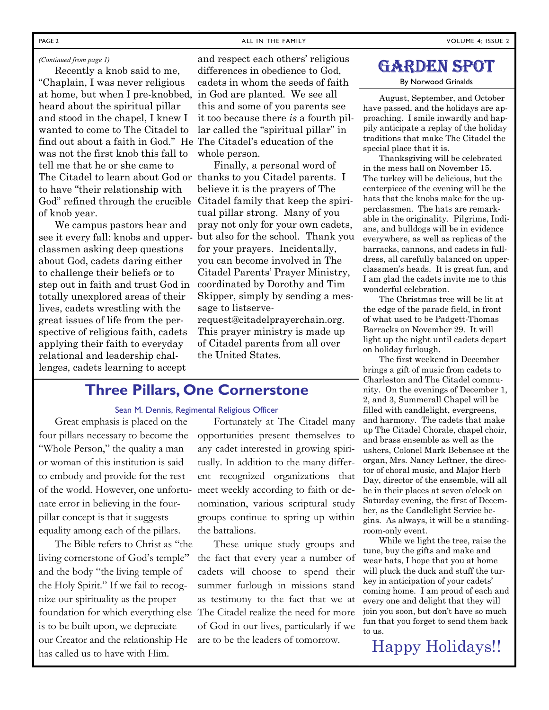#### PAGE 2 **PAGE 2** ALL IN THE FAMILY **ALL IN THE FAMILY** ALL IN THE FAMILY

#### *(Continued from page 1)*

 Recently a knob said to me, "Chaplain, I was never religious at home, but when I pre-knobbed, heard about the spiritual pillar and stood in the chapel, I knew I wanted to come to The Citadel to find out about a faith in God." He The Citadel's education of the was not the first knob this fall to tell me that he or she came to The Citadel to learn about God or thanks to you Citadel parents. I to have "their relationship with of knob year.

 We campus pastors hear and see it every fall: knobs and upperclassmen asking deep questions about God, cadets daring either to challenge their beliefs or to step out in faith and trust God in totally unexplored areas of their lives, cadets wrestling with the great issues of life from the perspective of religious faith, cadets applying their faith to everyday relational and leadership challenges, cadets learning to accept

and respect each others' religious differences in obedience to God, cadets in whom the seeds of faith in God are planted. We see all this and some of you parents see it too because there *is* a fourth pillar called the "spiritual pillar" in whole person.

God" refined through the crucible Citadel family that keep the spiri- Finally, a personal word of believe it is the prayers of The tual pillar strong. Many of you pray not only for your own cadets, but also for the school. Thank you for your prayers. Incidentally, you can become involved in The Citadel Parents' Prayer Ministry, coordinated by Dorothy and Tim Skipper, simply by sending a message to listserve-

request@citadelprayerchain.org. This prayer ministry is made up of Citadel parents from all over the United States.

# **Three Pillars, One Cornerstone**

#### Sean M. Dennis, Regimental Religious Officer

Great emphasis is placed on the four pillars necessary to become the "Whole Person," the quality a man or woman of this institution is said to embody and provide for the rest of the world. However, one unfortunate error in believing in the fourpillar concept is that it suggests equality among each of the pillars.

The Bible refers to Christ as "the living cornerstone of God's temple" and the body "the living temple of the Holy Spirit." If we fail to recognize our spirituality as the proper is to be built upon, we depreciate our Creator and the relationship He has called us to have with Him.

Fortunately at The Citadel many opportunities present themselves to any cadet interested in growing spiritually. In addition to the many different recognized organizations that meet weekly according to faith or denomination, various scriptural study groups continue to spring up within the battalions.

foundation for which everything else The Citadel realize the need for more These unique study groups and the fact that every year a number of cadets will choose to spend their summer furlough in missions stand as testimony to the fact that we at of God in our lives, particularly if we are to be the leaders of tomorrow.

# GARDEN SPOT

#### By Norwood Grinalds

 August, September, and October have passed, and the holidays are approaching. I smile inwardly and happily anticipate a replay of the holiday traditions that make The Citadel the special place that it is.

 Thanksgiving will be celebrated in the mess hall on November 15. The turkey will be delicious, but the centerpiece of the evening will be the hats that the knobs make for the upperclassmen. The hats are remarkable in the originality. Pilgrims, Indians, and bulldogs will be in evidence everywhere, as well as replicas of the barracks, cannons, and cadets in fulldress, all carefully balanced on upperclassmen's heads. It is great fun, and I am glad the cadets invite me to this wonderful celebration.

 The Christmas tree will be lit at the edge of the parade field, in front of what used to be Padgett-Thomas Barracks on November 29. It will light up the night until cadets depart on holiday furlough.

 The first weekend in December brings a gift of music from cadets to Charleston and The Citadel community. On the evenings of December 1, 2, and 3, Summerall Chapel will be filled with candlelight, evergreens, and harmony. The cadets that make up The Citadel Chorale, chapel choir, and brass ensemble as well as the ushers, Colonel Mark Bebensee at the organ, Mrs. Nancy Leftner, the director of choral music, and Major Herb Day, director of the ensemble, will all be in their places at seven o'clock on Saturday evening, the first of December, as the Candlelight Service begins. As always, it will be a standingroom-only event.

 While we light the tree, raise the tune, buy the gifts and make and wear hats, I hope that you at home will pluck the duck and stuff the turkey in anticipation of your cadets' coming home. I am proud of each and every one and delight that they will join you soon, but don't have so much fun that you forget to send them back to us.

Happy Holidays!!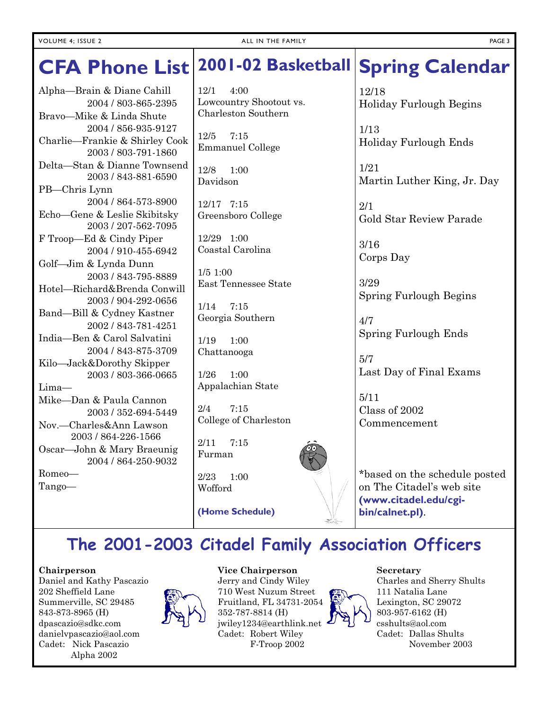#### **Spring Calendar CFA Phone List 2001-02 Basketball**

Alpha—Brain & Diane Cahill 2004 / 803-865-2395 Bravo—Mike & Linda Shute 2004 / 856-935-9127 Charlie—Frankie & Shirley Cook 2003 / 803-791-1860 Delta—Stan & Dianne Townsend 2003 / 843-881-6590 PB—Chris Lynn 2004 / 864-573-8900 Echo—Gene & Leslie Skibitsky 2003 / 207-562-7095 F Troop—Ed & Cindy Piper 2004 / 910-455-6942 Golf—Jim & Lynda Dunn 2003 / 843-795-8889 Hotel—Richard&Brenda Conwill 2003 / 904-292-0656 Band—Bill & Cydney Kastner 2002 / 843-781-4251 India—Ben & Carol Salvatini 2004 / 843-875-3709 Kilo—Jack&Dorothy Skipper 2003 / 803-366-0665 Lima— Mike—Dan & Paula Cannon 2003 / 352-694-5449 Nov.—Charles&Ann Lawson 2003 / 864-226-1566 Oscar—John & Mary Braeunig 2004 / 864-250-9032 Romeo— Tango—

12/1 4:00 Lowcountry Shootout vs. Charleston Southern

12/5 7:15 Emmanuel College

12/8 1:00 Davidson

12/17 7:15 Greensboro College

12/29 1:00 Coastal Carolina

1/5 1:00 East Tennessee State

1/14 7:15 Georgia Southern

1/19 1:00 Chattanooga

1/26 1:00 Appalachian State

2/4 7:15 College of Charleston

2/11 7:15 Furman

2/23 1:00 Wofford

**(Home Schedule)** 

12/18 Holiday Furlough Begins

1/13 Holiday Furlough Ends

1/21 Martin Luther King, Jr. Day

2/1 Gold Star Review Parade

3/16 Corps Day

3/29 Spring Furlough Begins

4/7 Spring Furlough Ends

5/7 Last Day of Final Exams

5/11 Class of 2002 Commencement

\*based on the schedule posted on The Citadel's web site **(www.citadel.edu/cgibin/calnet.pl)**.

# **The 2001-2003 Citadel Family Association Officers**

#### **Chairperson**

Daniel and Kathy Pascazio 202 Sheffield Lane Summerville, SC 29485 843-873-8965 (H) dpascazio@sdkc.com danielvpascazio@aol.com Cadet: Nick Pascazio Alpha 2002



**Vice Chairperson**  Jerry and Cindy Wiley 710 West Nuzum Street Fruitland, FL 34731-2054 352-787-8814 (H) jwiley1234@earthlink.net Cadet: Robert Wiley

F-Troop 2002



# **Secretary**

Charles and Sherry Shults 111 Natalia Lane Lexington, SC 29072 803-957-6162 (H) csshults@aol.com Cadet: Dallas Shults November 2003